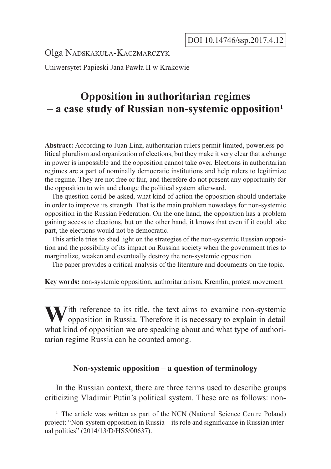Olga Nadskakuła-Kaczmarczyk

Uniwersytet Papieski Jana Pawła II w Krakowie

# **Opposition in authoritarian regimes – a case study of Russian non-systemic opposition1**

**Abstract:** According to Juan Linz, authoritarian rulers permit limited, powerless political pluralism and organization of elections, but they make it very clear that a change in power is impossible and the opposition cannot take over. Elections in authoritarian regimes are a part of nominally democratic institutions and help rulers to legitimize the regime. They are not free or fair, and therefore do not present any opportunity for the opposition to win and change the political system afterward.

The question could be asked, what kind of action the opposition should undertake in order to improve its strength. That is the main problem nowadays for non-systemic opposition in the Russian Federation. On the one hand, the opposition has a problem gaining access to elections, but on the other hand, it knows that even if it could take part, the elections would not be democratic.

This article tries to shed light on the strategies of the non-systemic Russian opposition and the possibility of its impact on Russian society when the government tries to marginalize, weaken and eventually destroy the non-systemic opposition.

The paper provides a critical analysis of the literature and documents on the topic.

**Key words:** non-systemic opposition, authoritarianism, Kremlin, protest movement

With reference to its title, the text aims to examine non-systemic opposition in Russia. Therefore it is necessary to explain in detail what kind of opposition we are speaking about and what type of authoritarian regime Russia can be counted among.

# **Non-systemic opposition – a question of terminology**

In the Russian context, there are three terms used to describe groups criticizing Vladimir Putin's political system. These are as follows: non-

<sup>&</sup>lt;sup>1</sup> The article was written as part of the NCN (National Science Centre Poland) project: "Non-system opposition in Russia – its role and significance in Russian internal politics" (2014/13/D/HS5/00637).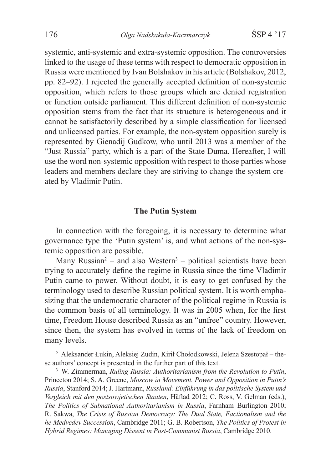systemic, anti-systemic and extra-systemic opposition. The controversies linked to the usage of these terms with respect to democratic opposition in Russia were mentioned by Ivan Bolshakov in his article (Bolshakov, 2012, pp. 82–92). I rejected the generally accepted definition of non-systemic opposition, which refers to those groups which are denied registration or function outside parliament. This different definition of non-systemic opposition stems from the fact that its structure is heterogeneous and it cannot be satisfactorily described by a simple classification for licensed and unlicensed parties. For example, the non-system opposition surely is represented by Gienadij Gudkow, who until 2013 was a member of the "Just Russia" party, which is a part of the State Duma. Hereafter, I will use the word non-systemic opposition with respect to those parties whose leaders and members declare they are striving to change the system created by Vladimir Putin.

#### **The Putin System**

In connection with the foregoing, it is necessary to determine what governance type the 'Putin system' is, and what actions of the non-systemic opposition are possible.

Many Russian<sup>2</sup> – and also Western<sup>3</sup> – political scientists have been trying to accurately define the regime in Russia since the time Vladimir Putin came to power. Without doubt, it is easy to get confused by the terminology used to describe Russian political system. It is worth emphasizing that the undemocratic character of the political regime in Russia is the common basis of all terminology. It was in 2005 when, for the first time, Freedom House described Russia as an "unfree" country. However, since then, the system has evolved in terms of the lack of freedom on many levels.

<sup>2</sup> Aleksander Łukin, Aleksiej Zudin, Kirił Chołodkowski, Jelena Szestopał – these authors' concept is presented in the further part of this text.

<sup>3</sup> W. Zimmerman, *Ruling Russia: Authoritarianism from the Revolution to Putin*, Princeton 2014; S. A. Greene, *Moscow in Movement. Power and Opposition in Putin's Russia*, Stanford 2014; J. Hartmann, *Russland: Einführung in das politische System und Vergleich mit den postsowjetischen Staaten*, Häftad 2012; C. Ross, V. Gelman (eds.), *The Politics of Subnational Authoritarianism in Russia*, Farnham–Burlington 2010; R. Sakwa, *The Crisis of Russian Democracy: The Dual State, Factionalism and the he Medvedev Succession*, Cambridge 2011; G. B. Robertson, *The Politics of Protest in Hybrid Regimes: Managing Dissent in Post-Communist Russia*, Cambridge 2010.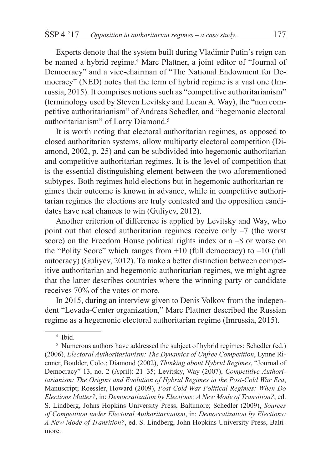Experts denote that the system built during Vladimir Putin's reign can be named a hybrid regime.<sup>4</sup> Marc Plattner, a joint editor of "Journal of Democracy" and a vice-chairman of "The National Endowment for Democracy" (NED) notes that the term of hybrid regime is a vast one (Imrussia, 2015). It comprises notions such as "competitive authoritarianism" (terminology used by Steven Levitsky and Lucan A. Way), the "non competitive authoritarianism" of Andreas Schedler, and "hegemonic electoral authoritarianism" of Larry Diamond.<sup>5</sup>

It is worth noting that electoral authoritarian regimes, as opposed to closed authoritarian systems, allow multiparty electoral competition (Diamond, 2002, p. 25) and can be subdivided into hegemonic authoritarian and competitive authoritarian regimes. It is the level of competition that is the essential distinguishing element between the two aforementioned subtypes. Both regimes hold elections but in hegemonic authoritarian regimes their outcome is known in advance, while in competitive authoritarian regimes the elections are truly contested and the opposition candidates have real chances to win (Guliyev, 2012).

Another criterion of difference is applied by Levitsky and Way, who point out that closed authoritarian regimes receive only –7 (the worst score) on the Freedom House political rights index or a –8 or worse on the "Polity Score" which ranges from  $+10$  (full democracy) to  $-10$  (full autocracy) (Guliyev, 2012). To make a better distinction between competitive authoritarian and hegemonic authoritarian regimes, we might agree that the latter describes countries where the winning party or candidate receives 70% of the votes or more.

In 2015, during an interview given to Denis Volkov from the independent "Levada-Center organization," Marc Plattner described the Russian regime as a hegemonic electoral authoritarian regime (Imrussia, 2015).

<sup>4</sup> Ibid.

<sup>&</sup>lt;sup>5</sup> Numerous authors have addressed the subject of hybrid regimes: Schedler (ed.) (2006), *Electoral Authoritarianism: The Dynamics of Unfree Competition*, Lynne Rienner, Boulder, Colo.; Diamond (2002), *Thinking about Hybrid Regimes*, "Journal of Democracy" 13, no. 2 (April): 21–35; Levitsky, Way (2007), *Competitive Authoritarianism: The Origins and Evolution of Hybrid Regimes in the Post-Cold War Era*, Manuscript; Roessler, Howard (2009), *Post-Cold-War Political Regimes: When Do Elections Matter?*, in: *Democratization by Elections: A New Mode of Transition?*, ed. S. Lindberg, Johns Hopkins University Press, Baltimore; Schedler (2009), *Sources of Competition under Electoral Authoritarianism*, in: *Democratization by Elections: A New Mode of Transition?*, ed. S. Lindberg, John Hopkins University Press, Baltimore.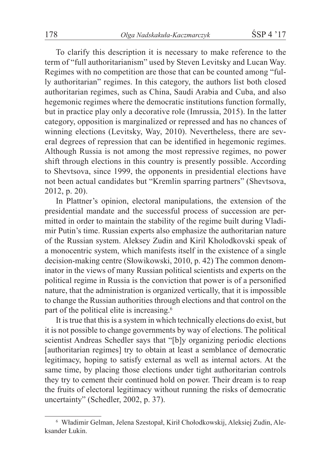To clarify this description it is necessary to make reference to the term of "full authoritarianism" used by Steven Levitsky and Lucan Way. Regimes with no competition are those that can be counted among "fully authoritarian" regimes. In this category, the authors list both closed authoritarian regimes, such as China, Saudi Arabia and Cuba, and also hegemonic regimes where the democratic institutions function formally, but in practice play only a decorative role (Imrussia, 2015). In the latter category, opposition is marginalized or repressed and has no chances of winning elections (Levitsky, Way, 2010). Nevertheless, there are several degrees of repression that can be identified in hegemonic regimes. Although Russia is not among the most repressive regimes, no power shift through elections in this country is presently possible. According to Shevtsova, since 1999, the opponents in presidential elections have not been actual candidates but "Kremlin sparring partners" (Shevtsova, 2012, p. 20).

In Plattner's opinion, electoral manipulations, the extension of the presidential mandate and the successful process of succession are permitted in order to maintain the stability of the regime built during Vladimir Putin's time. Russian experts also emphasize the authoritarian nature of the Russian system. Aleksey Zudin and Kiril Kholodkovski speak of a monocentric system, which manifests itself in the existence of a single decision-making centre (Słowikowski, 2010, p. 42) The common denominator in the views of many Russian political scientists and experts on the political regime in Russia is the conviction that power is of a personified nature, that the administration is organized vertically, that it is impossible to change the Russian authorities through elections and that control on the part of the political elite is increasing.<sup>6</sup>

It is true that this is a system in which technically elections do exist, but it is not possible to change governments by way of elections. The political scientist Andreas Schedler says that "[b]y organizing periodic elections [authoritarian regimes] try to obtain at least a semblance of democratic legitimacy, hoping to satisfy external as well as internal actors. At the same time, by placing those elections under tight authoritarian controls they try to cement their continued hold on power. Their dream is to reap the fruits of electoral legitimacy without running the risks of democratic uncertainty" (Schedler, 2002, p. 37).

<sup>6</sup> Władimir Gelman, Jelena Szestopał, Kirił Chołodkowskij, Aleksiej Zudin, Aleksander Łukin.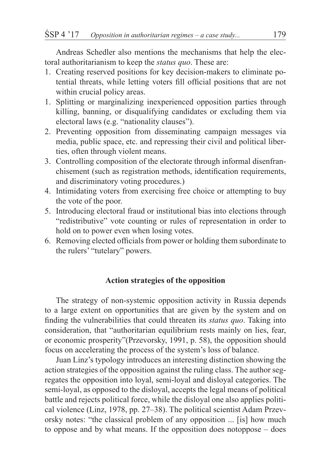Andreas Schedler also mentions the mechanisms that help the electoral authoritarianism to keep the *status quo*. These are:

- 1. Creating reserved positions for key decision-makers to eliminate potential threats, while letting voters fill official positions that are not within crucial policy areas.
- 1. Splitting or marginalizing inexperienced opposition parties through killing, banning, or disqualifying candidates or excluding them via electoral laws (e.g. "nationality clauses").
- 2. Preventing opposition from disseminating campaign messages via media, public space, etc. and repressing their civil and political liberties, often through violent means.
- 3. Controlling composition of the electorate through informal disenfranchisement (such as registration methods, identification requirements, and discriminatory voting procedures.)
- 4. Intimidating voters from exercising free choice or attempting to buy the vote of the poor.
- 5. Introducing electoral fraud or institutional bias into elections through "redistributive" vote counting or rules of representation in order to hold on to power even when losing votes.
- 6. Removing elected officials from power or holding them subordinate to the rulers' "tutelary" powers.

# **Action strategies of the opposition**

The strategy of non-systemic opposition activity in Russia depends to a large extent on opportunities that are given by the system and on finding the vulnerabilities that could threaten its *status quo*. Taking into consideration, that "authoritarian equilibrium rests mainly on lies, fear, or economic prosperity"(Przevorsky, 1991, p. 58), the opposition should focus on accelerating the process of the system's loss of balance.

Juan Linz's typology introduces an interesting distinction showing the action strategies of the opposition against the ruling class. The author segregates the opposition into loyal, semi-loyal and disloyal categories. The semi-loyal, as opposed to the disloyal, accepts the legal means of political battle and rejects political force, while the disloyal one also applies political violence (Linz, 1978, pp. 27–38). The political scientist Adam Przevorsky notes: "the classical problem of any opposition ... [is] how much to oppose and by what means. If the opposition does notoppose – does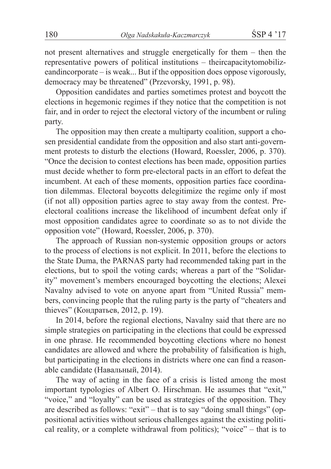not present alternatives and struggle energetically for them – then the representative powers of political institutions – theircapacitytomobilizeandincorporate – is weak... But if the opposition does oppose vigorously, democracy may be threatened" (Przevorsky, 1991, p. 98).

Opposition candidates and parties sometimes protest and boycott the elections in hegemonic regimes if they notice that the competition is not fair, and in order to reject the electoral victory of the incumbent or ruling party.

The opposition may then create a multiparty coalition, support a chosen presidential candidate from the opposition and also start anti-government protests to disturb the elections (Howard, Roessler, 2006, p. 370). "Once the decision to contest elections has been made, opposition parties must decide whether to form pre-electoral pacts in an effort to defeat the incumbent. At each of these moments, opposition parties face coordination dilemmas. Electoral boycotts delegitimize the regime only if most (if not all) opposition parties agree to stay away from the contest. Preelectoral coalitions increase the likelihood of incumbent defeat only if most opposition candidates agree to coordinate so as to not divide the opposition vote" (Howard, Roessler, 2006, p. 370).

The approach of Russian non-systemic opposition groups or actors to the process of elections is not explicit. In 2011, before the elections to the State Duma, the PARNAS party had recommended taking part in the elections, but to spoil the voting cards; whereas a part of the "Solidarity" movement's members encouraged boycotting the elections; Alexei Navalny advised to vote on anyone apart from "United Russia" members, convincing people that the ruling party is the party of "cheaters and thieves" (Кондратьев, 2012, p. 19).

In 2014, before the regional elections, Navalny said that there are no simple strategies on participating in the elections that could be expressed in one phrase. He recommended boycotting elections where no honest candidates are allowed and where the probability of falsification is high, but participating in the elections in districts where one can find a reasonable candidate (Навальный, 2014).

The way of acting in the face of a crisis is listed among the most important typologies of Albert O. Hirschman. He assumes that "exit," "voice," and "loyalty" can be used as strategies of the opposition. They are described as follows: "exit" – that is to say "doing small things" (oppositional activities without serious challenges against the existing political reality, or a complete withdrawal from politics); "voice" – that is to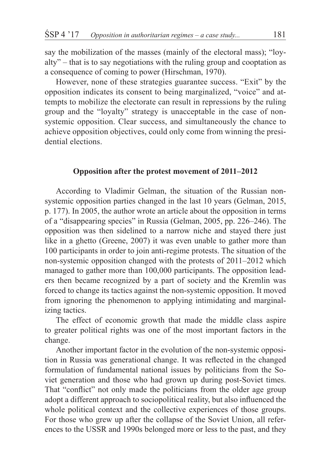say the mobilization of the masses (mainly of the electoral mass); "loyalty" – that is to say negotiations with the ruling group and cooptation as a consequence of coming to power (Hirschman, 1970).

However, none of these strategies guarantee success. "Exit" by the opposition indicates its consent to being marginalized, "voice" and attempts to mobilize the electorate can result in repressions by the ruling group and the "loyalty" strategy is unacceptable in the case of nonsystemic opposition. Clear success, and simultaneously the chance to achieve opposition objectives, could only come from winning the presidential elections.

## **Opposition after the protest movement of 2011–2012**

According to Vladimir Gelman, the situation of the Russian nonsystemic opposition parties changed in the last 10 years (Gelman, 2015, p. 177). In 2005, the author wrote an article about the opposition in terms of a "disappearing species" in Russia (Gelman, 2005, pp. 226–246). The opposition was then sidelined to a narrow niche and stayed there just like in a ghetto (Greene, 2007) it was even unable to gather more than 100 participants in order to join anti-regime protests. The situation of the non-systemic opposition changed with the protests of 2011–2012 which managed to gather more than 100,000 participants. The opposition leaders then became recognized by a part of society and the Kremlin was forced to change its tactics against the non-systemic opposition. It moved from ignoring the phenomenon to applying intimidating and marginalizing tactics.

The effect of economic growth that made the middle class aspire to greater political rights was one of the most important factors in the change.

Another important factor in the evolution of the non-systemic opposition in Russia was generational change. It was reflected in the changed formulation of fundamental national issues by politicians from the Soviet generation and those who had grown up during post-Soviet times. That "conflict" not only made the politicians from the older age group adopt a different approach to sociopolitical reality, but also influenced the whole political context and the collective experiences of those groups. For those who grew up after the collapse of the Soviet Union, all references to the USSR and 1990s belonged more or less to the past, and they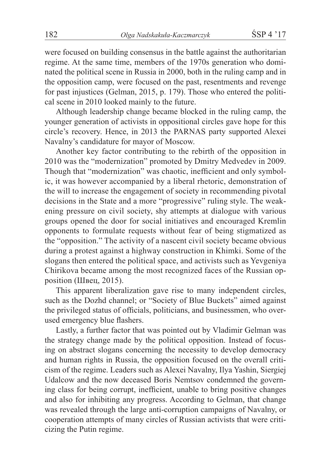were focused on building consensus in the battle against the authoritarian regime. At the same time, members of the 1970s generation who dominated the political scene in Russia in 2000, both in the ruling camp and in the opposition camp, were focused on the past, resentments and revenge for past injustices (Gelman, 2015, p. 179). Those who entered the political scene in 2010 looked mainly to the future.

Although leadership change became blocked in the ruling camp, the younger generation of activists in oppositional circles gave hope for this circle's recovery. Hence, in 2013 the PARNAS party supported Alexei Navalny's candidature for mayor of Moscow.

Another key factor contributing to the rebirth of the opposition in 2010 was the "modernization" promoted by Dmitry Medvedev in 2009. Though that "modernization" was chaotic, inefficient and only symbolic, it was however accompanied by a liberal rhetoric, demonstration of the will to increase the engagement of society in recommending pivotal decisions in the State and a more "progressive" ruling style. The weakening pressure on civil society, shy attempts at dialogue with various groups opened the door for social initiatives and encouraged Kremlin opponents to formulate requests without fear of being stigmatized as the "opposition." The activity of a nascent civil society became obvious during a protest against a highway construction in Khimki. Some of the slogans then entered the political space, and activists such as Yevgeniya Chirikova became among the most recognized faces of the Russian opposition (Швец, 2015).

This apparent liberalization gave rise to many independent circles, such as the Dozhd channel; or "Society of Blue Buckets" aimed against the privileged status of officials, politicians, and businessmen, who overused emergency blue flashers.

Lastly, a further factor that was pointed out by Vladimir Gelman was the strategy change made by the political opposition. Instead of focusing on abstract slogans concerning the necessity to develop democracy and human rights in Russia, the opposition focused on the overall criticism of the regime. Leaders such as Alexei Navalny, Ilya Yashin, Siergiej Udalcow and the now deceased Boris Nemtsov condemned the governing class for being corrupt, inefficient, unable to bring positive changes and also for inhibiting any progress. According to Gelman, that change was revealed through the large anti-corruption campaigns of Navalny, or cooperation attempts of many circles of Russian activists that were criticizing the Putin regime.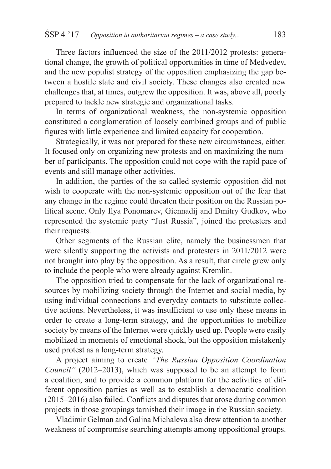Three factors influenced the size of the 2011/2012 protests: generational change, the growth of political opportunities in time of Medvedev, and the new populist strategy of the opposition emphasizing the gap between a hostile state and civil society. These changes also created new challenges that, at times, outgrew the opposition. It was, above all, poorly prepared to tackle new strategic and organizational tasks.

In terms of organizational weakness, the non-systemic opposition constituted a conglomeration of loosely combined groups and of public figures with little experience and limited capacity for cooperation.

Strategically, it was not prepared for these new circumstances, either. It focused only on organizing new protests and on maximizing the number of participants. The opposition could not cope with the rapid pace of events and still manage other activities.

In addition, the parties of the so-called systemic opposition did not wish to cooperate with the non-systemic opposition out of the fear that any change in the regime could threaten their position on the Russian political scene. Only Ilya Ponomarev, Giennadij and Dmitry Gudkov, who represented the systemic party "Just Russia", joined the protesters and their requests.

Other segments of the Russian elite, namely the businessmen that were silently supporting the activists and protesters in 2011/2012 were not brought into play by the opposition. As a result, that circle grew only to include the people who were already against Kremlin.

The opposition tried to compensate for the lack of organizational resources by mobilizing society through the Internet and social media, by using individual connections and everyday contacts to substitute collective actions. Nevertheless, it was insufficient to use only these means in order to create a long-term strategy, and the opportunities to mobilize society by means of the Internet were quickly used up. People were easily mobilized in moments of emotional shock, but the opposition mistakenly used protest as a long-term strategy.

A project aiming to create *"The Russian Opposition Coordination Council"* (2012–2013), which was supposed to be an attempt to form a coalition, and to provide a common platform for the activities of different opposition parties as well as to establish a democratic coalition (2015–2016) also failed. Conflicts and disputes that arose during common projects in those groupings tarnished their image in the Russian society.

Vladimir Gelman and Galina Michaleva also drew attention to another weakness of compromise searching attempts among oppositional groups.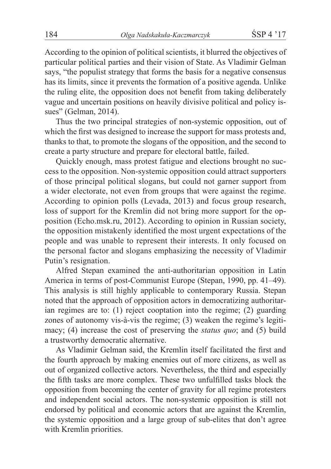According to the opinion of political scientists, it blurred the objectives of particular political parties and their vision of State. As Vladimir Gelman says, "the populist strategy that forms the basis for a negative consensus has its limits, since it prevents the formation of a positive agenda. Unlike the ruling elite, the opposition does not benefit from taking deliberately vague and uncertain positions on heavily divisive political and policy issues" (Gelman, 2014).

Thus the two principal strategies of non-systemic opposition, out of which the first was designed to increase the support for mass protests and, thanks to that, to promote the slogans of the opposition, and the second to create a party structure and prepare for electoral battle, failed.

Quickly enough, mass protest fatigue and elections brought no success to the opposition. Non-systemic opposition could attract supporters of those principal political slogans, but could not garner support from a wider electorate, not even from groups that were against the regime. According to opinion polls (Levada, 2013) and focus group research, loss of support for the Kremlin did not bring more support for the opposition (Echo.msk.ru, 2012). According to opinion in Russian society, the opposition mistakenly identified the most urgent expectations of the people and was unable to represent their interests. It only focused on the personal factor and slogans emphasizing the necessity of Vladimir Putin's resignation.

Alfred Stepan examined the anti-authoritarian opposition in Latin America in terms of post-Communist Europe (Stepan, 1990, pp. 41–49). This analysis is still highly applicable to contemporary Russia. Stepan noted that the approach of opposition actors in democratizing authoritarian regimes are to: (1) reject cooptation into the regime; (2) guarding zones of autonomy vis-à-vis the regime; (3) weaken the regime's legitimacy; (4) increase the cost of preserving the *status quo*; and (5) build a trustworthy democratic alternative.

As Vladimir Gelman said, the Kremlin itself facilitated the first and the fourth approach by making enemies out of more citizens, as well as out of organized collective actors. Nevertheless, the third and especially the fifth tasks are more complex. These two unfulfilled tasks block the opposition from becoming the center of gravity for all regime protesters and independent social actors. The non-systemic opposition is still not endorsed by political and economic actors that are against the Kremlin, the systemic opposition and a large group of sub-elites that don't agree with Kremlin priorities.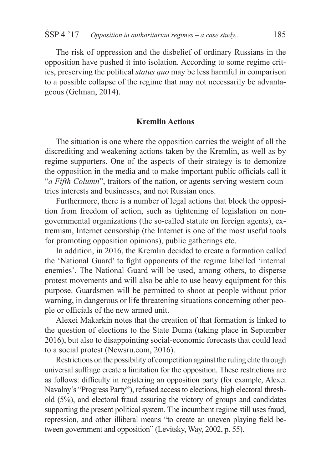The risk of oppression and the disbelief of ordinary Russians in the opposition have pushed it into isolation. According to some regime critics, preserving the political *status quo* may be less harmful in comparison to a possible collapse of the regime that may not necessarily be advantageous (Gelman, 2014).

## **Kremlin Actions**

The situation is one where the opposition carries the weight of all the discrediting and weakening actions taken by the Kremlin, as well as by regime supporters. One of the aspects of their strategy is to demonize the opposition in the media and to make important public officials call it "*a Fifth Column*", traitors of the nation, or agents serving western countries interests and businesses, and not Russian ones.

Furthermore, there is a number of legal actions that block the opposition from freedom of action, such as tightening of legislation on nongovernmental organizations (the so-called statute on foreign agents), extremism, Internet censorship (the Internet is one of the most useful tools for promoting opposition opinions), public gatherings etc.

In addition, in 2016, the Kremlin decided to create a formation called the 'National Guard' to fight opponents of the regime labelled 'internal enemies'. The National Guard will be used, among others, to disperse protest movements and will also be able to use heavy equipment for this purpose. Guardsmen will be permitted to shoot at people without prior warning, in dangerous or life threatening situations concerning other people or officials of the new armed unit.

Alexei Makarkin notes that the creation of that formation is linked to the question of elections to the State Duma (taking place in September 2016), but also to disappointing social-economic forecasts that could lead to a social protest (Newsru.com, 2016).

Restrictions on the possibility of competition against the ruling elite through universal suffrage create a limitation for the opposition. These restrictions are as follows: difficulty in registering an opposition party (for example, Alexei Navalny's "Progress Party"), refused access to elections, high electoral threshold (5%), and electoral fraud assuring the victory of groups and candidates supporting the present political system. The incumbent regime still uses fraud, repression, and other illiberal means "to create an uneven playing field between government and opposition" (Levitsky, Way, 2002, p. 55).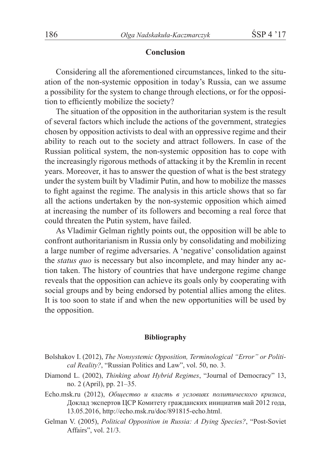#### **Conclusion**

Considering all the aforementioned circumstances, linked to the situation of the non-systemic opposition in today's Russia, can we assume a possibility for the system to change through elections, or for the opposition to efficiently mobilize the society?

The situation of the opposition in the authoritarian system is the result of several factors which include the actions of the government, strategies chosen by opposition activists to deal with an oppressive regime and their ability to reach out to the society and attract followers. In case of the Russian political system, the non-systemic opposition has to cope with the increasingly rigorous methods of attacking it by the Kremlin in recent years. Moreover, it has to answer the question of what is the best strategy under the system built by Vladimir Putin, and how to mobilize the masses to fight against the regime. The analysis in this article shows that so far all the actions undertaken by the non-systemic opposition which aimed at increasing the number of its followers and becoming a real force that could threaten the Putin system, have failed.

As Vladimir Gelman rightly points out, the opposition will be able to confront authoritarianism in Russia only by consolidating and mobilizing a large number of regime adversaries. A 'negative' consolidation against the *status quo* is necessary but also incomplete, and may hinder any action taken. The history of countries that have undergone regime change reveals that the opposition can achieve its goals only by cooperating with social groups and by being endorsed by potential allies among the elites. It is too soon to state if and when the new opportunities will be used by the opposition.

#### **Bibliography**

- Bolshakov I. (2012), *The Nonsystemic Opposition, Terminological "Error" or Political Reality?*, "Russian Politics and Law", vol. 50, no. 3.
- Diamond L. (2002), *Thinking about Hybrid Regimes*, "Journal of Democracy" 13, no. 2 (April), pp. 21–35.
- Echo.msk.ru (2012), *Общество и власть в условиях политического кризиса*, Доклад экспертов ЦСР Комитету гражданских инициатив май 2012 года, 13.05.2016, http://echo.msk.ru/doc/891815-echo.html.
- Gelman V. (2005), *Political Opposition in Russia: A Dying Species?*, "Post-Soviet Affairs", vol. 21/3.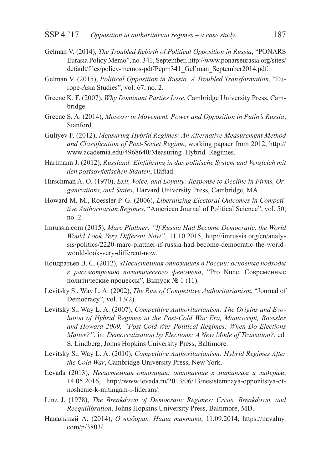- Gelman V. (2014), *The Troubled Rebirth of Political Opposition in Russia*, "PONARS Eurasia Policy Memo", no. 341, September, http://www.ponarseurasia.org/sites/ default/files/policy-memos-pdf/Pepm341\_Gel'man\_September2014.pdf.
- Gelman V. (2015), *Political Opposition in Russia: A Troubled Transformation*, "Europe-Asia Studies", vol. 67, no. 2.
- Greene K. F. (2007), *Why Dominant Parties Lose*, Cambridge University Press, Cambridge.
- Greene S. A. (2014), *Moscow in Movement. Power and Opposition in Putin's Russia*, Stanford.
- Guliyev F. (2012), *Measuring Hybrid Regimes: An Alternative Measurement Method and Classification of Post-Soviet Regime*, working papaer from 2012, http:// www.academia.edu/4968640/Measuring\_Hybrid\_Regimes.
- Hartmann J. (2012), *Russland: Einführung in das politische System und Vergleich mit den postsowjetischen Staaten*, Häftad.
- Hirschman A. O. (1970), *Exit, Voice, and Loyalty: Response to Decline in Firms, Organizations, and States*, Harvard University Press, Cambridge, MA.
- Howard M. M., Roessler P. G. (2006), *Liberalizing Electoral Outcomes in Competitive Authoritarian Regimes*, "American Journal of Political Science", vol. 50, no. 2.
- Imrussia.com (2015), *Marc Plattner: "If Russia Had Become Democratic, the World Would Look Very Different Now"*, 11.10.2015, http://imrussia.org/en/analysis/politics/2220-marc-plattner-if-russia-had-become-democratic-the-worldwould-look-very-different-now.
- Кондратьев В. С. (2012), *«Несистемная оппозиция» в России: основные подходы к рассмотрению политического феномена*, "Pro Nunc. Современные политические процессы", Выпуск № 1 (11).
- Levitsky S., Way L. A. (2002), *The Rise of Competitive Authoritarianism*, "Journal of Democracy", vol. 13(2).
- Levitsky S., Way L. A. (2007), *Competitive Authoritarianism: The Origins and Evolution of Hybrid Regimes in the Post-Cold War Era, Manuscript, Roessler and Howard 2009, "Post-Cold-War Political Regimes: When Do Elections Matter?"*, in: *Democratization by Elections: A New Mode of Transition?*, ed. S. Lindberg, Johns Hopkins University Press, Baltimore.
- Levitsky S., Way L. A. (2010), *Competitive Authoritarianism: Hybrid Regimes After the Cold War*, Cambridge University Press, New York.
- Levada (2013), *Несистемная оппозиция: отношение к митингам и лидерам*, 14.05.2016, http://www.levada.ru/2013/06/13/nesistemnaya-oppozitsiya-otnoshenie-k-mitingam-i-lideram/.
- Linz J. (1978), *The Breakdown of Democratic Regimes: Crisis, Breakdown, and Reequilibration*, Johns Hopkins University Press, Baltimore, MD.
- Навальный А. (2014), *О выборах. Наша тактика*, 11.09.2014, https://navalny. com/p/3803/.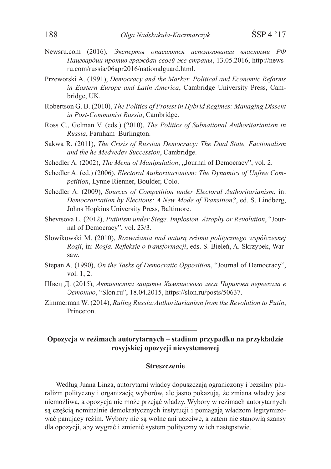- Newsru.com (2016), *Эксперты опасаются использования властями РФ Нацгвардии против граждан своей же страны*, 13.05.2016, http://newsru.com/russia/06apr2016/nationalguard.html.
- Przeworski A. (1991), *Democracy and the Market: Political and Economic Reforms in Eastern Europe and Latin America*, Cambridge University Press, Cambridge, UK.
- Robertson G. B. (2010), *The Politics of Protest in Hybrid Regimes: Managing Dissent in Post-Communist Russia*, Cambridge.
- Ross C., Gelman V. (eds.) (2010), *The Politics of Subnational Authoritarianism in Russia*, Farnham–Burlington.
- Sakwa R. (2011), *The Crisis of Russian Democracy: The Dual State, Factionalism and the he Medvedev Succession*, Cambridge.
- Schedler A. (2002), *The Menu of Manipulation*, "Journal of Democracy", vol. 2.
- Schedler A. (ed.) (2006), *Electoral Authoritarianism: The Dynamics of Unfree Competition*, Lynne Rienner, Boulder, Colo.
- Schedler A. (2009), *Sources of Competition under Electoral Authoritarianism*, in: *Democratization by Elections: A New Mode of Transition?*, ed. S. Lindberg, Johns Hopkins University Press, Baltimore.
- Shevtsova L. (2012), *Putinism under Siege. Implosion, Atrophy or Revolution*, "Journal of Democracy", vol. 23/3.
- Słowikowski M. (2010), *Rozważania nad naturą reżimu politycznego współczesnej Rosji*, in: *Rosja. Refleksje o transformacji*, eds. S. Bieleń, A. Skrzypek, Warsaw.
- Stepan A. (1990), *On the Tasks of Democratic Opposition*, "Journal of Democracy", vol. 1, 2.
- Швец Д. (2015), *Активистка защиты Химкинского леса Чирикова переехала в Эстонию*, "Slon.ru", 18.04.2015, https://slon.ru/posts/50637.
- Zimmerman W. (2014), *Ruling Russia:Authoritarianism from the Revolution to Putin*, Princeton.

## **Opozycja w reżimach autorytarnych – stadium przypadku na przykładzie rosyjskiej opozycji niesystemowej**

#### **Streszczenie**

Według Juana Linza, autorytarni władcy dopuszczają ograniczony i bezsilny pluralizm polityczny i organizację wyborów, ale jasno pokazują, że zmiana władzy jest niemożliwa, a opozycja nie może przejąć władzy. Wybory w reżimach autorytarnych są częścią nominalnie demokratycznych instytucji i pomagają władzom legitymizować panujący reżim. Wybory nie są wolne ani uczciwe, a zatem nie stanowią szansy dla opozycji, aby wygrać i zmienić system polityczny w ich następstwie.